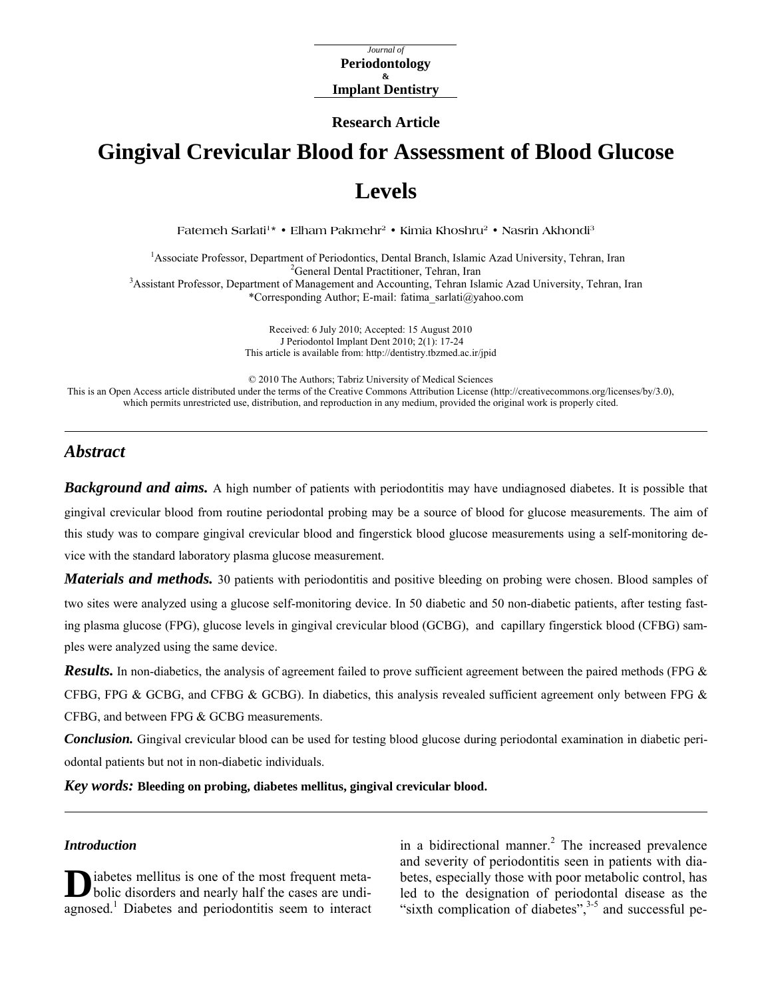*Journal of*  **Periodontology & Implant Dentistry** 

**Research Article** 

# **Gingival Crevicular Blood for Assessment of Blood Glucose Levels**

Fatemeh Sarlati<sup>1\*</sup> • Elham Pakmehr<sup>2</sup> • Kimia Khoshru<sup>2</sup> • Nasrin Akhondi<sup>3</sup>

<sup>1</sup> Associate Professor, Department of Periodontics, Dental Branch, Islamic Azad University, Tehran, Iran <sup>2</sup>Congrel Dental Practitioner, Tehran, Iran <sup>2</sup>General Dental Practitioner, Tehran, Iran<br><sup>3</sup>Assistant Professor, Department of Management and Accounting, Tehran Islamic Azad University, Tehran, Iran \*Corresponding Author; E-mail: [fatima\\_sarlati@yahoo.com](mailto:fatima_sarlati@yahoo.com)

> Received: 6 July 2010; Accepted: 15 August 2010 J Periodontol Implant Dent 2010; 2(1): 17-24 This article is available from: <http://dentistry.tbzmed.ac.ir/jpid>

© 2010 The Authors; Tabriz University of Medical Sciences

This is an Open Access article distributed under the terms of the Creative Commons Attribution License (<http://creativecommons.org/licenses/by/3.0>), which permits unrestricted use, distribution, and reproduction in any medium, provided the original work is properly cited.

## *Abstract*

*Background and aims.* A high number of patients with periodontitis may have undiagnosed diabetes. It is possible that gingival crevicular blood from routine periodontal probing may be a source of blood for glucose measurements. The aim of this study was to compare gingival crevicular blood and fingerstick blood glucose measurements using a self-monitoring device with the standard laboratory plasma glucose measurement.

*Materials and methods.* 30 patients with periodontitis and positive bleeding on probing were chosen. Blood samples of two sites were analyzed using a glucose self-monitoring device. In 50 diabetic and 50 non-diabetic patients, after testing fasting plasma glucose (FPG), glucose levels in gingival crevicular blood (GCBG), and capillary fingerstick blood (CFBG) samples were analyzed using the same device.

**Results.** In non-diabetics, the analysis of agreement failed to prove sufficient agreement between the paired methods (FPG & CFBG, FPG & GCBG, and CFBG & GCBG). In diabetics, this analysis revealed sufficient agreement only between FPG  $\&$ CFBG, and between FPG & GCBG measurements.

*Conclusion.* Gingival crevicular blood can be used for testing blood glucose during periodontal examination in diabetic periodontal patients but not in non-diabetic individuals.

*Key words:* **Bleeding on probing, diabetes mellitus, gingival crevicular blood.** 

#### *Introduction*

iabetes mellitus is one of the most frequent meta-**D** iabetes mellitus is one of the most frequent meta-<br>bolic disorders and nearly half the cases are undiagnosed.<sup>1</sup> Diabetes and periodontitis seem to interact

in a bidirectional manner. $^{2}$  The increased prevalence and severity of periodontitis seen in patients with diabetes, especially those with poor metabolic control, has led to the designation of periodontal disease as the "sixth complication of diabetes", $3-5$  and successful pe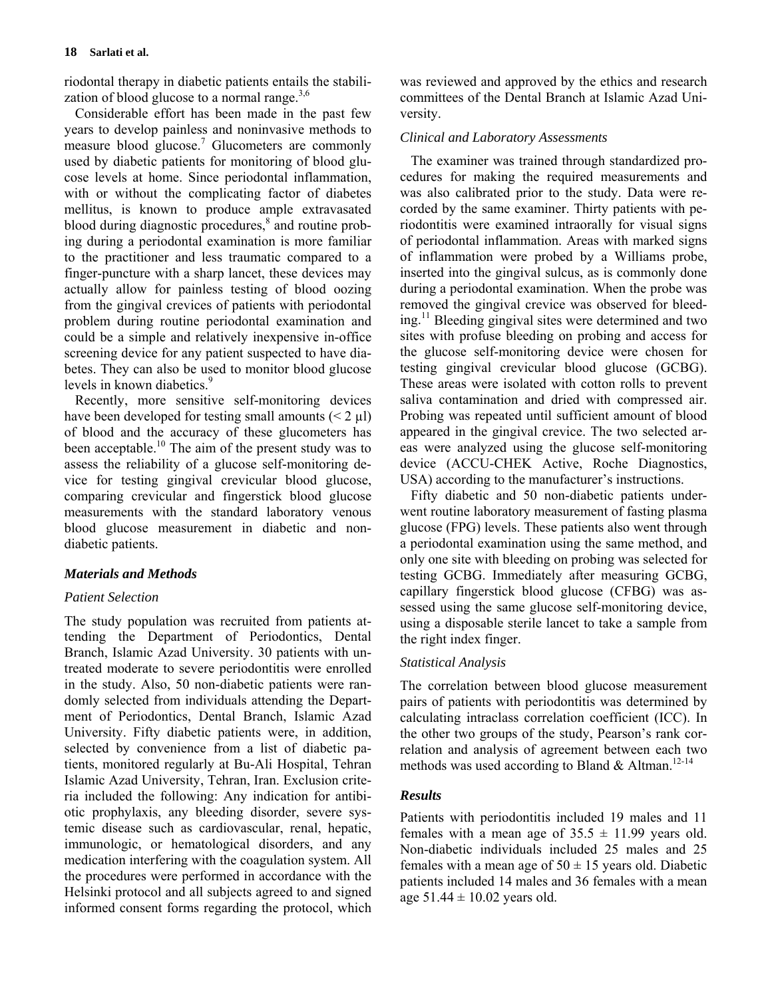riodontal therapy in diabetic patients entails the stabilization of blood glucose to a normal range. $3,6$ 

Considerable effort has been made in the past few years to develop painless and noninvasive methods to measure blood glucose.<sup>7</sup> Glucometers are commonly used by diabetic patients for monitoring of blood glucose levels at home. Since periodontal inflammation, with or without the complicating factor of diabetes mellitus, is known to produce ample extravasated blood during diagnostic procedures,<sup>8</sup> and routine probing during a periodontal examination is more familiar to the practitioner and less traumatic compared to a finger-puncture with a sharp lancet, these devices may actually allow for painless testing of blood oozing from the gingival crevices of patients with periodontal problem during routine periodontal examination and could be a simple and relatively inexpensive in-office screening device for any patient suspected to have diabetes. They can also be used to monitor blood glucose levels in known diabetics.<sup>9</sup>

Recently, more sensitive self-monitoring devices have been developed for testing small amounts  $(< 2 \mu l$ ) of blood and the accuracy of these glucometers has been acceptable.<sup>10</sup> The aim of the present study was to assess the reliability of a glucose self-monitoring device for testing gingival crevicular blood glucose, comparing crevicular and fingerstick blood glucose measurements with the standard laboratory venous blood glucose measurement in diabetic and nondiabetic patients.

## *Materials and Methods*

#### *Patient Selection*

The study population was recruited from patients attending the Department of Periodontics, Dental Branch, Islamic Azad University. 30 patients with untreated moderate to severe periodontitis were enrolled in the study. Also, 50 non-diabetic patients were randomly selected from individuals attending the Department of Periodontics, Dental Branch, Islamic Azad University. Fifty diabetic patients were, in addition, selected by convenience from a list of diabetic patients, monitored regularly at Bu-Ali Hospital, Tehran Islamic Azad University, Tehran, Iran. Exclusion criteria included the following: Any indication for antibiotic prophylaxis, any bleeding disorder, severe systemic disease such as cardiovascular, renal, hepatic, immunologic, or hematological disorders, and any medication interfering with the coagulation system. All the procedures were performed in accordance with the Helsinki protocol and all subjects agreed to and signed informed consent forms regarding the protocol, which

was reviewed and approved by the ethics and research committees of the Dental Branch at Islamic Azad University.

## *Clinical and Laboratory Assessments*

The examiner was trained through standardized procedures for making the required measurements and was also calibrated prior to the study. Data were recorded by the same examiner. Thirty patients with periodontitis were examined intraorally for visual signs of periodontal inflammation. Areas with marked signs of inflammation were probed by a Williams probe, inserted into the gingival sulcus, as is commonly done during a periodontal examination. When the probe was removed the gingival crevice was observed for bleeding.11 Bleeding gingival sites were determined and two sites with profuse bleeding on probing and access for the glucose self-monitoring device were chosen for testing gingival crevicular blood glucose (GCBG). These areas were isolated with cotton rolls to prevent saliva contamination and dried with compressed air. Probing was repeated until sufficient amount of blood appeared in the gingival crevice. The two selected areas were analyzed using the glucose self-monitoring device (ACCU-CHEK Active, Roche Diagnostics, USA) according to the manufacturer's instructions.

Fifty diabetic and 50 non-diabetic patients underwent routine laboratory measurement of fasting plasma glucose (FPG) levels. These patients also went through a periodontal examination using the same method, and only one site with bleeding on probing was selected for testing GCBG. Immediately after measuring GCBG, capillary fingerstick blood glucose (CFBG) was assessed using the same glucose self-monitoring device, using a disposable sterile lancet to take a sample from the right index finger.

## *Statistical Analysis*

The correlation between blood glucose measurement pairs of patients with periodontitis was determined by calculating intraclass correlation coefficient (ICC). In the other two groups of the study, Pearson's rank correlation and analysis of agreement between each two methods was used according to Bland & Altman.<sup>12-14</sup>

#### *Results*

Patients with periodontitis included 19 males and 11 females with a mean age of  $35.5 \pm 11.99$  years old. Non-diabetic individuals included 25 males and 25 females with a mean age of  $50 \pm 15$  years old. Diabetic patients included 14 males and 36 females with a mean age  $51.44 \pm 10.02$  years old.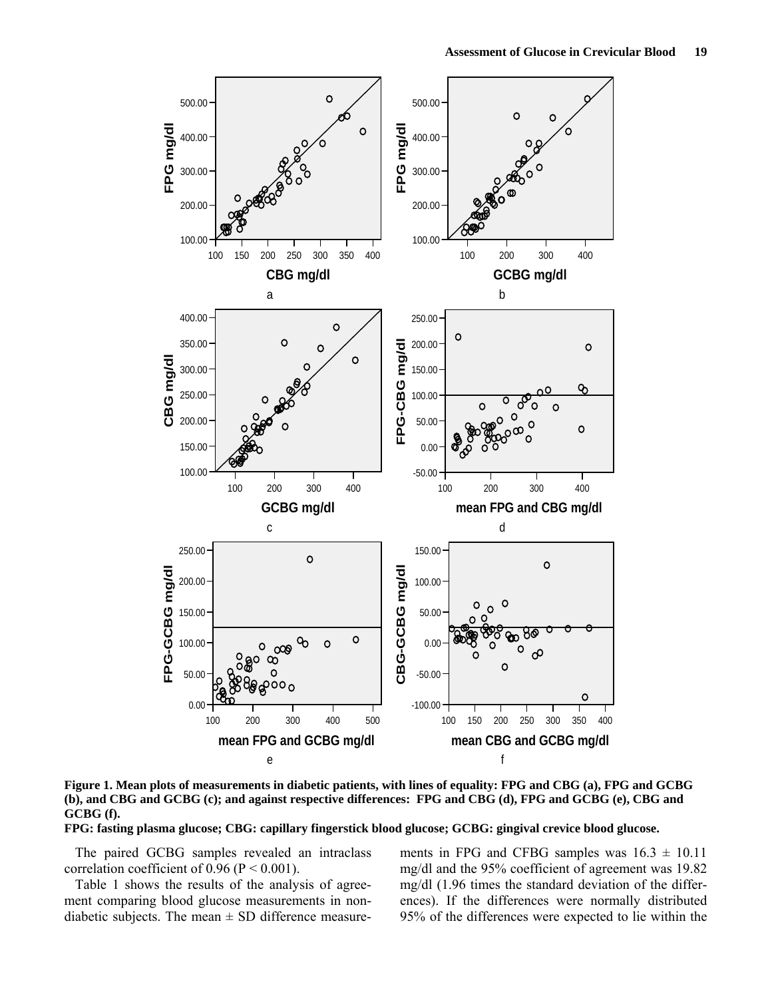

**Figure 1. Mean plots of measurements in diabetic patients, with lines of equality: FPG and CBG (a), FPG and GCBG (b), and CBG and GCBG (c); and against respective differences: FPG and CBG (d), FPG and GCBG (e), CBG and GCBG (f).** 

**FPG: fasting plasma glucose; CBG: capillary fingerstick blood glucose; GCBG: gingival crevice blood glucose.** 

The paired GCBG samples revealed an intraclass correlation coefficient of  $0.96$  (P < 0.001).

Table 1 shows the results of the analysis of agreement comparing blood glucose measurements in nondiabetic subjects. The mean  $\pm$  SD difference measure-

ments in FPG and CFBG samples was  $16.3 \pm 10.11$ mg/dl and the 95% coefficient of agreement was 19.82 mg/dl (1.96 times the standard deviation of the differences). If the differences were normally distributed 95% of the differences were expected to lie within the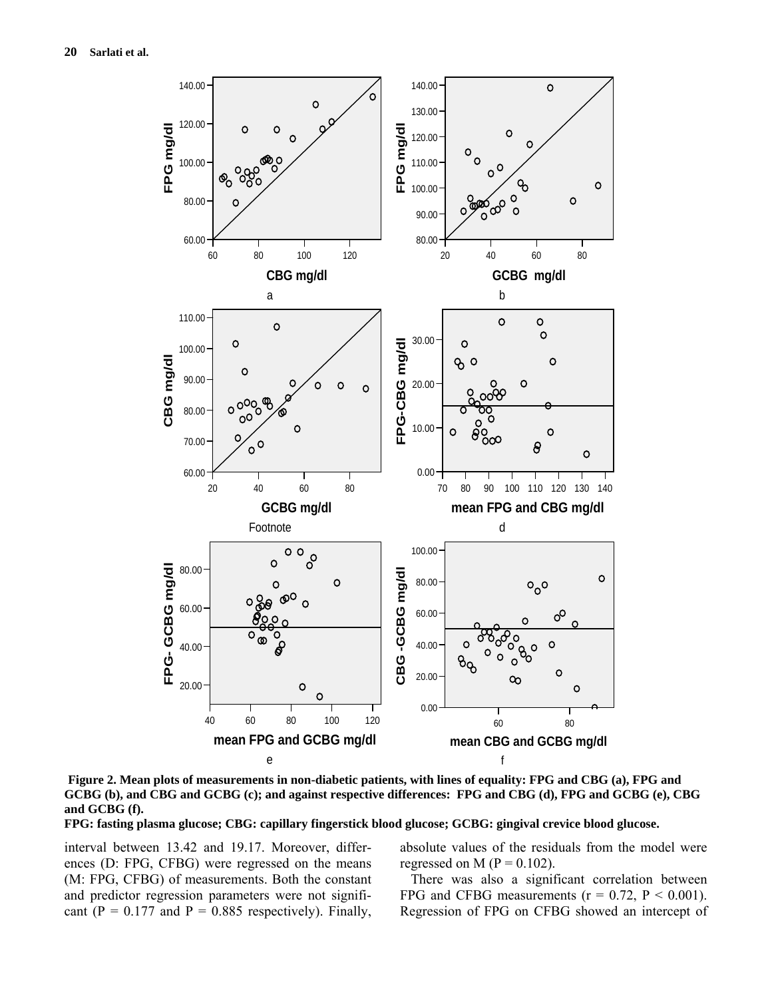

**Figure 2. Mean plots of measurements in non-diabetic patients, with lines of equality: FPG and CBG (a), FPG and GCBG (b), and CBG and GCBG (c); and against respective differences: FPG and CBG (d), FPG and GCBG (e), CBG and GCBG (f).** 

**FPG: fasting plasma glucose; CBG: capillary fingerstick blood glucose; GCBG: gingival crevice blood glucose.** 

interval between 13.42 and 19.17. Moreover, differences (D: FPG, CFBG) were regressed on the means (M: FPG, CFBG) of measurements. Both the constant and predictor regression parameters were not significant ( $P = 0.177$  and  $P = 0.885$  respectively). Finally,

absolute values of the residuals from the model were regressed on M ( $P = 0.102$ ).

There was also a significant correlation between FPG and CFBG measurements ( $r = 0.72$ ,  $P < 0.001$ ). Regression of FPG on CFBG showed an intercept of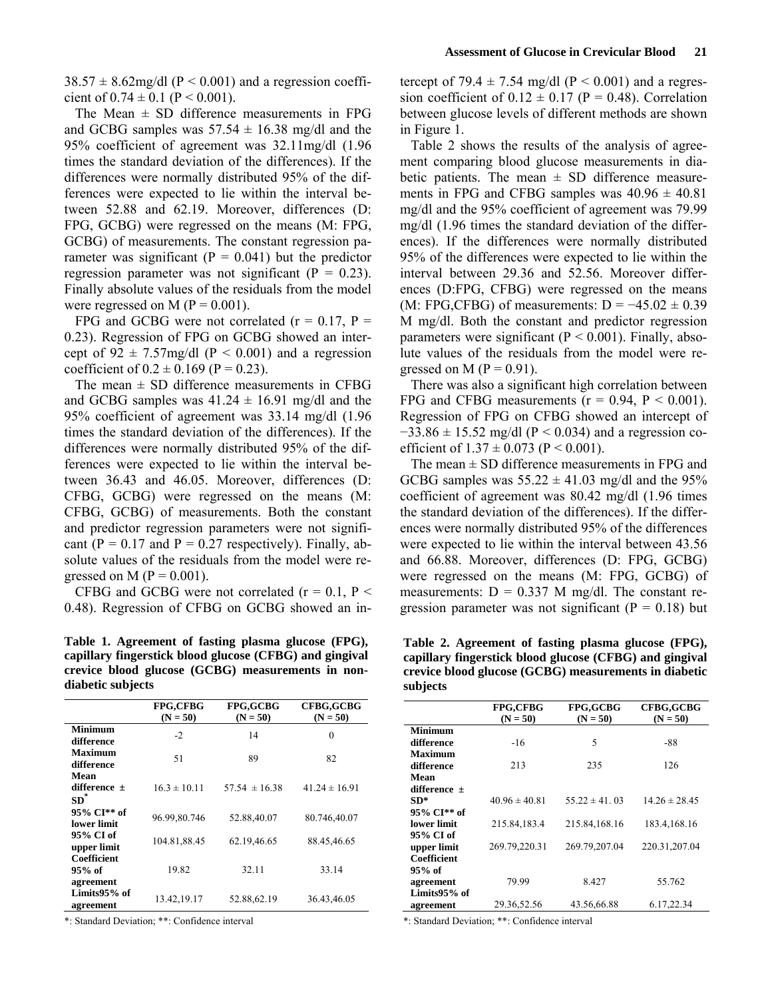$38.57 \pm 8.62$  mg/dl (P < 0.001) and a regression coefficient of  $0.74 \pm 0.1$  (P < 0.001).

The Mean  $\pm$  SD difference measurements in FPG and GCBG samples was  $57.54 \pm 16.38$  mg/dl and the 95% coefficient of agreement was 32.11mg/dl (1.96 times the standard deviation of the differences). If the differences were normally distributed 95% of the differences were expected to lie within the interval between 52.88 and 62.19. Moreover, differences (D: FPG, GCBG) were regressed on the means (M: FPG, GCBG) of measurements. The constant regression parameter was significant ( $P = 0.041$ ) but the predictor regression parameter was not significant  $(P = 0.23)$ . Finally absolute values of the residuals from the model were regressed on M ( $P = 0.001$ ).

FPG and GCBG were not correlated  $(r = 0.17, P =$ 0.23). Regression of FPG on GCBG showed an intercept of  $92 \pm 7.57$ mg/dl (P < 0.001) and a regression coefficient of  $0.2 \pm 0.169$  (P = 0.23).

The mean  $\pm$  SD difference measurements in CFBG and GCBG samples was  $41.24 \pm 16.91$  mg/dl and the 95% coefficient of agreement was 33.14 mg/dl (1.96 times the standard deviation of the differences). If the differences were normally distributed 95% of the differences were expected to lie within the interval between 36.43 and 46.05. Moreover, differences (D: CFBG, GCBG) were regressed on the means (M: CFBG, GCBG) of measurements. Both the constant and predictor regression parameters were not significant ( $P = 0.17$  and  $P = 0.27$  respectively). Finally, absolute values of the residuals from the model were regressed on M ( $P = 0.001$ ).

CFBG and GCBG were not correlated  $(r = 0.1, P <$ 0.48). Regression of CFBG on GCBG showed an in-

**Table 1. Agreement of fasting plasma glucose (FPG), capillary fingerstick blood glucose (CFBG) and gingival crevice blood glucose (GCBG) measurements in nondiabetic subjects** 

|                           | <b>FPG,CFBG</b><br>$(N = 50)$ | <b>FPG,GCBG</b><br>$(N = 50)$ | CFBG,GCBG<br>$(N = 50)$ |
|---------------------------|-------------------------------|-------------------------------|-------------------------|
| Minimum                   |                               |                               |                         |
| difference                | $-2$                          | 14                            | $\theta$                |
| <b>Maximum</b>            | 51                            | 89                            | 82                      |
| difference                |                               |                               |                         |
| Mean                      |                               |                               |                         |
| difference $\pm$          | $16.3 \pm 10.11$              | $57.54 \pm 16.38$             | $41.24 \pm 16.91$       |
| $SD^*$                    |                               |                               |                         |
| 95% CI <sup>**</sup> of   | 96.99,80.746                  | 52.88,40.07                   | 80.746,40.07            |
| lower limit               |                               |                               |                         |
| 95% CI of<br>upper limit  | 104.81,88.45                  | 62.19,46.65                   | 88.45,46.65             |
| Coefficient               |                               |                               |                         |
| 95% of                    | 19.82                         | 32.11                         | 33.14                   |
| agreement                 |                               |                               |                         |
| Limits95% of<br>agreement | 13.42,19.17                   | 52.88,62.19                   | 36.43,46.05             |

\*: Standard Deviation; \*\*: Confidence interval

tercept of 79.4  $\pm$  7.54 mg/dl (P < 0.001) and a regression coefficient of  $0.12 \pm 0.17$  (P = 0.48). Correlation between glucose levels of different methods are shown in Figure 1.

Table 2 shows the results of the analysis of agreement comparing blood glucose measurements in diabetic patients. The mean  $\pm$  SD difference measurements in FPG and CFBG samples was  $40.96 \pm 40.81$ mg/dl and the 95% coefficient of agreement was 79.99 mg/dl (1.96 times the standard deviation of the differences). If the differences were normally distributed 95% of the differences were expected to lie within the interval between 29.36 and 52.56. Moreover differences (D:FPG, CFBG) were regressed on the means (M: FPG,CFBG) of measurements:  $D = -45.02 \pm 0.39$ M mg/dl. Both the constant and predictor regression parameters were significant ( $P < 0.001$ ). Finally, absolute values of the residuals from the model were regressed on M ( $P = 0.91$ ).

There was also a significant high correlation between FPG and CFBG measurements ( $r = 0.94$ ,  $P < 0.001$ ). Regression of FPG on CFBG showed an intercept of  $-33.86 \pm 15.52$  mg/dl (P < 0.034) and a regression coefficient of  $1.37 \pm 0.073$  (P < 0.001).

The mean  $\pm$  SD difference measurements in FPG and GCBG samples was  $55.22 \pm 41.03$  mg/dl and the 95% coefficient of agreement was 80.42 mg/dl (1.96 times the standard deviation of the differences). If the differences were normally distributed 95% of the differences were expected to lie within the interval between 43.56 and 66.88. Moreover, differences (D: FPG, GCBG) were regressed on the means (M: FPG, GCBG) of measurements:  $D = 0.337$  M mg/dl. The constant regression parameter was not significant ( $P = 0.18$ ) but

**Table 2. Agreement of fasting plasma glucose (FPG), capillary fingerstick blood glucose (CFBG) and gingival crevice blood glucose (GCBG) measurements in diabetic subjects** 

|                         | <b>FPG,CFBG</b><br>$(N = 50)$ | <b>FPG,GCBG</b><br>$(N = 50)$ | CFBG,GCBG<br>$(N = 50)$ |
|-------------------------|-------------------------------|-------------------------------|-------------------------|
| <b>Minimum</b>          |                               |                               |                         |
| difference              | $-16$                         | 5                             | $-88$                   |
| <b>Maximum</b>          |                               |                               |                         |
| difference              | 213                           | 235                           | 126                     |
| Mean                    |                               |                               |                         |
| difference $\pm$        |                               |                               |                         |
| $SD*$                   | $40.96 \pm 40.81$             | $55.22 \pm 41.03$             | $14.26 \pm 28.45$       |
| 95% CI <sup>**</sup> of |                               |                               |                         |
| lower limit             | 215.84,183.4                  | 215.84, 168.16                | 183.4, 168.16           |
| 95% CI of               |                               |                               |                         |
| upper limit             | 269.79,220.31                 | 269.79,207.04                 | 220.31,207.04           |
| Coefficient             |                               |                               |                         |
| 95% of                  |                               |                               |                         |
| agreement               | 79.99                         | 8.427                         | 55.762                  |
| Limits95% of            |                               |                               |                         |
| agreement               | 29.36,52.56                   | 43.56,66.88                   | 6.17,22.34              |

\*: Standard Deviation; \*\*: Confidence interval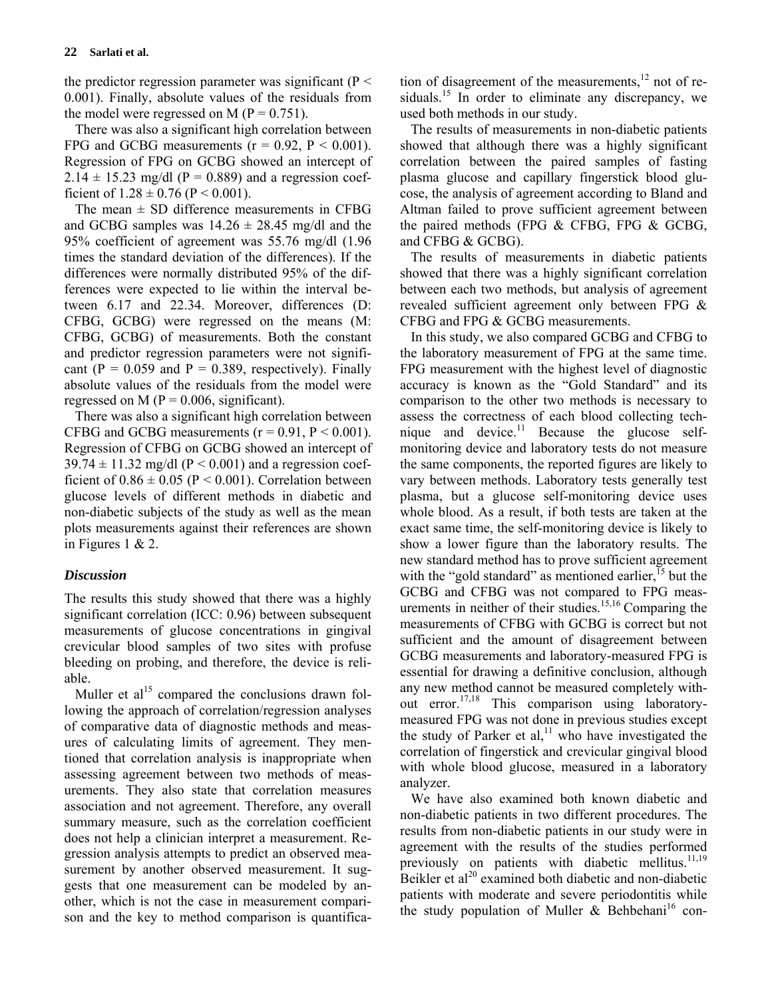the predictor regression parameter was significant ( $P \le$ 0.001). Finally, absolute values of the residuals from the model were regressed on M ( $P = 0.751$ ).

There was also a significant high correlation between FPG and GCBG measurements  $(r = 0.92, P \le 0.001)$ . Regression of FPG on GCBG showed an intercept of  $2.14 \pm 15.23$  mg/dl (P = 0.889) and a regression coefficient of  $1.28 \pm 0.76$  (P < 0.001).

The mean  $\pm$  SD difference measurements in CFBG and GCBG samples was  $14.26 \pm 28.45$  mg/dl and the 95% coefficient of agreement was 55.76 mg/dl (1.96 times the standard deviation of the differences). If the differences were normally distributed 95% of the differences were expected to lie within the interval between 6.17 and 22.34. Moreover, differences (D: CFBG, GCBG) were regressed on the means (M: CFBG, GCBG) of measurements. Both the constant and predictor regression parameters were not significant ( $P = 0.059$  and  $P = 0.389$ , respectively). Finally absolute values of the residuals from the model were regressed on M ( $P = 0.006$ , significant).

There was also a significant high correlation between CFBG and GCBG measurements  $(r = 0.91, P \le 0.001)$ . Regression of CFBG on GCBG showed an intercept of  $39.74 \pm 11.32$  mg/dl (P < 0.001) and a regression coefficient of  $0.86 \pm 0.05$  (P < 0.001). Correlation between glucose levels of different methods in diabetic and non-diabetic subjects of the study as well as the mean plots measurements against their references are shown in Figures 1 & 2.

## *Discussion*

The results this study showed that there was a highly significant correlation (ICC: 0.96) between subsequent measurements of glucose concentrations in gingival crevicular blood samples of two sites with profuse bleeding on probing, and therefore, the device is reliable.

Muller et  $al<sup>15</sup>$  compared the conclusions drawn following the approach of correlation/regression analyses of comparative data of diagnostic methods and measures of calculating limits of agreement. They mentioned that correlation analysis is inappropriate when assessing agreement between two methods of measurements. They also state that correlation measures association and not agreement. Therefore, any overall summary measure, such as the correlation coefficient does not help a clinician interpret a measurement. Regression analysis attempts to predict an observed measurement by another observed measurement. It suggests that one measurement can be modeled by another, which is not the case in measurement comparison and the key to method comparison is quantification of disagreement of the measurements, $12$  not of residuals.<sup>15</sup> In order to eliminate any discrepancy, we used both methods in our study.

The results of measurements in non-diabetic patients showed that although there was a highly significant correlation between the paired samples of fasting plasma glucose and capillary fingerstick blood glucose, the analysis of agreement according to Bland and Altman failed to prove sufficient agreement between the paired methods (FPG & CFBG, FPG & GCBG, and CFBG & GCBG).

The results of measurements in diabetic patients showed that there was a highly significant correlation between each two methods, but analysis of agreement revealed sufficient agreement only between FPG & CFBG and FPG & GCBG measurements.

In this study, we also compared GCBG and CFBG to the laboratory measurement of FPG at the same time. FPG measurement with the highest level of diagnostic accuracy is known as the "Gold Standard" and its comparison to the other two methods is necessary to assess the correctness of each blood collecting technique and device. $11$  Because the glucose selfmonitoring device and laboratory tests do not measure the same components, the reported figures are likely to vary between methods. Laboratory tests generally test plasma, but a glucose self-monitoring device uses whole blood. As a result, if both tests are taken at the exact same time, the self-monitoring device is likely to show a lower figure than the laboratory results. The new standard method has to prove sufficient agreement with the "gold standard" as mentioned earlier, $\frac{15}{15}$  but the GCBG and CFBG was not compared to FPG measurements in neither of their studies.<sup>15,16</sup> Comparing the measurements of CFBG with GCBG is correct but not sufficient and the amount of disagreement between GCBG measurements and laboratory-measured FPG is essential for drawing a definitive conclusion, although any new method cannot be measured completely without error.<sup>17,18</sup> This comparison using laboratorymeasured FPG was not done in previous studies except the study of Parker et al,<sup>11</sup> who have investigated the correlation of fingerstick and crevicular gingival blood with whole blood glucose, measured in a laboratory analyzer.

We have also examined both known diabetic and non-diabetic patients in two different procedures. The results from non-diabetic patients in our study were in agreement with the results of the studies performed previously on patients with diabetic mellitus. $11,19$ Beikler et  $al^{20}$  examined both diabetic and non-diabetic patients with moderate and severe periodontitis while the study population of Muller & Behbehani<sup>16</sup> con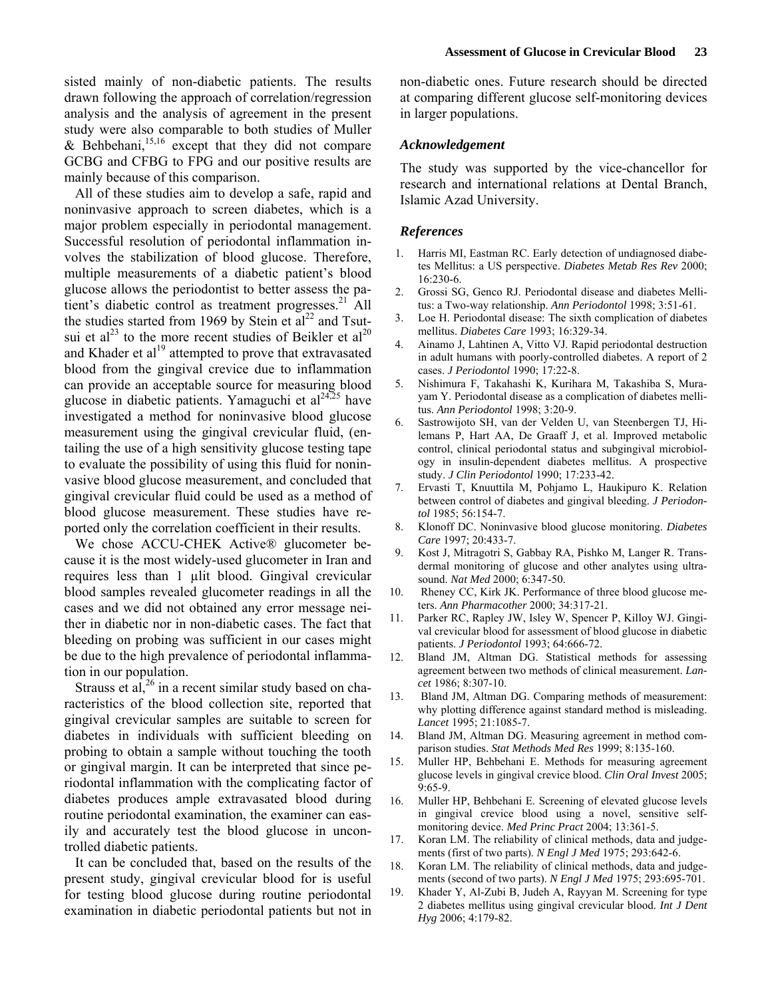sisted mainly of non-diabetic patients. The results drawn following the approach of correlation/regression analysis and the analysis of agreement in the present study were also comparable to both studies of Muller & Behbehani,<sup>15,16</sup> except that they did not compare GCBG and CFBG to FPG and our positive results are mainly because of this comparison.

All of these studies aim to develop a safe, rapid and noninvasive approach to screen diabetes, which is a major problem especially in periodontal management. Successful resolution of periodontal inflammation involves the stabilization of blood glucose. Therefore, multiple measurements of a diabetic patient's blood glucose allows the periodontist to better assess the patient's diabetic control as treatment progresses.<sup>21</sup> All the studies started from 1969 by Stein et  $al^{22}$  and Tsutsui et al<sup>23</sup> to the more recent studies of Beikler et al<sup>20</sup> and Khader et al<sup>19</sup> attempted to prove that extravasated blood from the gingival crevice due to inflammation can provide an acceptable source for measuring blood glucose in diabetic patients. Yamaguchi et  $al^{24,25}$  have investigated a method for noninvasive blood glucose measurement using the gingival crevicular fluid, (entailing the use of a high sensitivity glucose testing tape to evaluate the possibility of using this fluid for noninvasive blood glucose measurement, and concluded that gingival crevicular fluid could be used as a method of blood glucose measurement. These studies have reported only the correlation coefficient in their results.

We chose ACCU-CHEK Active® glucometer because it is the most widely-used glucometer in Iran and requires less than 1 µlit blood. Gingival crevicular blood samples revealed glucometer readings in all the cases and we did not obtained any error message neither in diabetic nor in non-diabetic cases. The fact that bleeding on probing was sufficient in our cases might be due to the high prevalence of periodontal inflammation in our population.

Strauss et al,  $2^6$  in a recent similar study based on characteristics of the blood collection site, reported that gingival crevicular samples are suitable to screen for diabetes in individuals with sufficient bleeding on probing to obtain a sample without touching the tooth or gingival margin. It can be interpreted that since periodontal inflammation with the complicating factor of diabetes produces ample extravasated blood during routine periodontal examination, the examiner can easily and accurately test the blood glucose in uncontrolled diabetic patients.

It can be concluded that, based on the results of the present study, gingival crevicular blood for is useful for testing blood glucose during routine periodontal examination in diabetic periodontal patients but not in non-diabetic ones. Future research should be directed at comparing different glucose self-monitoring devices in larger populations.

## *Acknowledgement*

The study was supported by the vice-chancellor for research and international relations at Dental Branch, Islamic Azad University.

#### *References*

- 1. Harris MI, Eastman RC. Early detection of undiagnosed diabetes Mellitus: a US perspective. *Diabetes Metab Res Rev* 2000; 16:230-6.
- 2. Grossi SG, Genco RJ. Periodontal disease and diabetes Mellitus: a Two-way relationship. *Ann Periodontol* 1998; 3:51-61.
- 3. Loe H. Periodontal disease: The sixth complication of diabetes mellitus. *Diabetes Care* 1993; 16:329-34.
- 4. Ainamo J, Lahtinen A, Vitto VJ. Rapid periodontal destruction in adult humans with poorly-controlled diabetes. A report of 2 cases. *J Periodontol* 1990; 17:22-8.
- 5. Nishimura F, Takahashi K, Kurihara M, Takashiba S, Murayam Y. Periodontal disease as a complication of diabetes mellitus. *Ann Periodontol* 1998; 3:20-9.
- 6. Sastrowijoto SH, van der Velden U, van Steenbergen TJ, Hilemans P, Hart AA, De Graaff J, et al. Improved metabolic control, clinical periodontal status and subgingival microbiology in insulin-dependent diabetes mellitus. A prospective study. *J Clin Periodontol* 1990; 17:233-42.
- 7. Ervasti T, Knuuttila M, Pohjamo L, Haukipuro K. Relation between control of diabetes and gingival bleeding. *J Periodontol* 1985; 56:154-7.
- 8. Klonoff DC. Noninvasive blood glucose monitoring. *Diabetes Care* 1997; 20:433-7.
- 9. Kost J, Mitragotri S, Gabbay RA, Pishko M, Langer R. Transdermal monitoring of glucose and other analytes using ultrasound. *Nat Med* 2000; 6:347-50.
- 10. Rheney CC, Kirk JK. Performance of three blood glucose meters. *Ann Pharmacother* 2000; 34:317-21.
- 11. Parker RC, Rapley JW, Isley W, Spencer P, Killoy WJ. Gingival crevicular blood for assessment of blood glucose in diabetic patients. *J Periodontol* 1993; 64:666-72.
- 12. Bland JM, Altman DG. Statistical methods for assessing agreement between two methods of clinical measurement. *Lancet* 1986; 8:307-10.
- 13. Bland JM, Altman DG. Comparing methods of measurement: why plotting difference against standard method is misleading. *Lancet* 1995; 21:1085-7.
- 14. Bland JM, Altman DG. Measuring agreement in method comparison studies. *Stat Methods Med Res* 1999; 8:135-160.
- 15. Muller HP, Behbehani E. Methods for measuring agreement glucose levels in gingival crevice blood. *Clin Oral Invest* 2005; 9:65-9.
- 16. Muller HP, Behbehani E. Screening of elevated glucose levels in gingival crevice blood using a novel, sensitive selfmonitoring device. *Med Princ Pract* 2004; 13:361-5.
- 17. Koran LM. The reliability of clinical methods, data and judgements (first of two parts). *N Engl J Med* 1975; 293:642-6.
- 18. Koran LM. The reliability of clinical methods, data and judgements (second of two parts). *N Engl J Med* 1975; 293:695-701.
- 19. Khader Y, Al-Zubi B, Judeh A, Rayyan M. Screening for type 2 diabetes mellitus using gingival crevicular blood. *Int J Dent Hyg* 2006; 4:179-82.